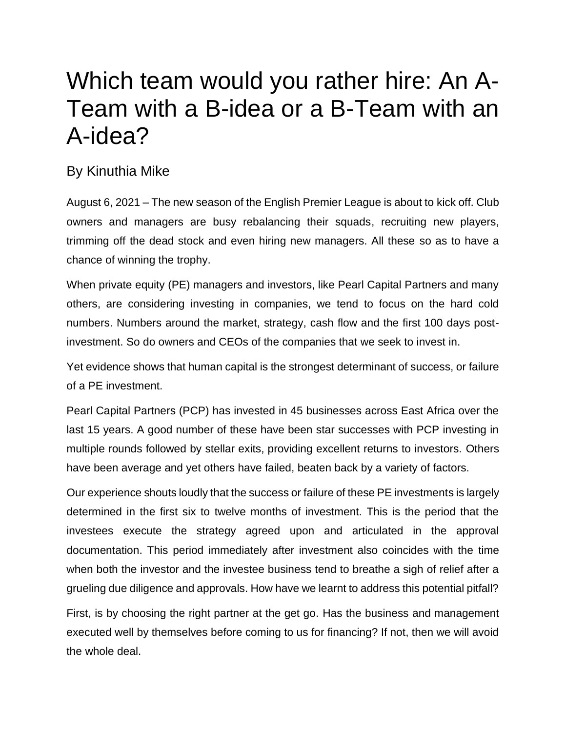## Which team would you rather hire: An A-Team with a B-idea or a B-Team with an A-idea?

## By Kinuthia Mike

August 6, 2021 – The new season of the English Premier League is about to kick off. Club owners and managers are busy rebalancing their squads, recruiting new players, trimming off the dead stock and even hiring new managers. All these so as to have a chance of winning the trophy.

When private equity (PE) managers and investors, like Pearl Capital Partners and many others, are considering investing in companies, we tend to focus on the hard cold numbers. Numbers around the market, strategy, cash flow and the first 100 days postinvestment. So do owners and CEOs of the companies that we seek to invest in.

Yet evidence shows that human capital is the strongest determinant of success, or failure of a PE investment.

Pearl Capital Partners (PCP) has invested in 45 businesses across East Africa over the last 15 years. A good number of these have been star successes with PCP investing in multiple rounds followed by stellar exits, providing excellent returns to investors. Others have been average and yet others have failed, beaten back by a variety of factors.

Our experience shouts loudly that the success or failure of these PE investments is largely determined in the first six to twelve months of investment. This is the period that the investees execute the strategy agreed upon and articulated in the approval documentation. This period immediately after investment also coincides with the time when both the investor and the investee business tend to breathe a sigh of relief after a grueling due diligence and approvals. How have we learnt to address this potential pitfall?

First, is by choosing the right partner at the get go. Has the business and management executed well by themselves before coming to us for financing? If not, then we will avoid the whole deal.